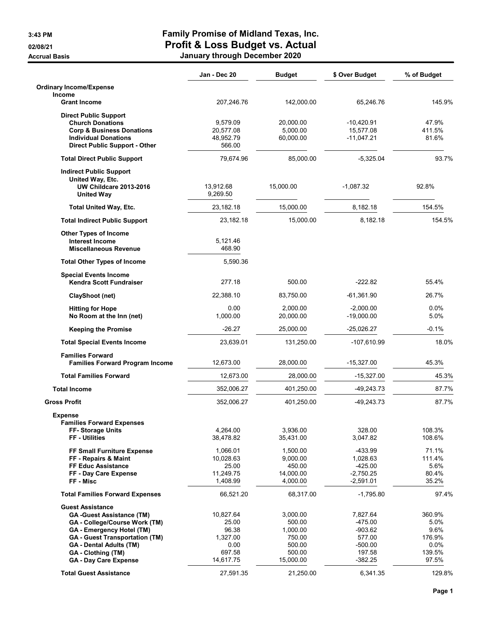## 3:43 PM Family Promise of Midland Texas, Inc. 02/08/21 **CALCERT CONTROLLER CONTROLLER CONTROLLER CONTROLLER CONTROLLER CONTROLLER CONTROLLER CONTROLLER CONTR** Accrual Basis **Accrual Basis January through December 2020**

|                                                                     | Jan - Dec 20          | <b>Budget</b>         | \$ Over Budget              | % of Budget     |
|---------------------------------------------------------------------|-----------------------|-----------------------|-----------------------------|-----------------|
| <b>Ordinary Income/Expense</b>                                      |                       |                       |                             |                 |
| <b>Income</b><br><b>Grant Income</b>                                | 207,246.76            | 142,000.00            | 65,246.76                   | 145.9%          |
| <b>Direct Public Support</b>                                        |                       |                       |                             |                 |
| <b>Church Donations</b>                                             | 9,579.09              | 20,000.00             | $-10,420.91$                | 47.9%           |
| <b>Corp &amp; Business Donations</b>                                | 20,577.08             | 5,000.00              | 15,577.08                   | 411.5%          |
| <b>Individual Donations</b><br><b>Direct Public Support - Other</b> | 48,952.79<br>566.00   | 60,000.00             | $-11,047.21$                | 81.6%           |
| <b>Total Direct Public Support</b>                                  | 79.674.96             | 85,000.00             | $-5,325.04$                 | 93.7%           |
| <b>Indirect Public Support</b>                                      |                       |                       |                             |                 |
| United Way, Etc.                                                    |                       |                       |                             |                 |
| <b>UW Childcare 2013-2016</b>                                       | 13,912.68             | 15,000.00             | $-1,087.32$                 | 92.8%           |
| <b>United Way</b>                                                   | 9,269.50              |                       |                             |                 |
| <b>Total United Way, Etc.</b>                                       | 23,182.18             | 15,000.00             | 8,182.18                    | 154.5%          |
| <b>Total Indirect Public Support</b>                                | 23,182.18             | 15,000.00             | 8,182.18                    | 154.5%          |
| <b>Other Types of Income</b>                                        |                       |                       |                             |                 |
| <b>Interest Income</b>                                              | 5,121.46              |                       |                             |                 |
| <b>Miscellaneous Revenue</b>                                        | 468.90                |                       |                             |                 |
| <b>Total Other Types of Income</b>                                  | 5,590.36              |                       |                             |                 |
| <b>Special Events Income</b><br>Kendra Scott Fundraiser             | 277.18                | 500.00                | $-222.82$                   | 55.4%           |
| <b>ClayShoot (net)</b>                                              | 22,388.10             | 83,750.00             | $-61,361.90$                | 26.7%           |
|                                                                     |                       |                       |                             |                 |
| <b>Hitting for Hope</b><br>No Room at the Inn (net)                 | 0.00<br>1,000.00      | 2,000.00<br>20,000.00 | $-2,000.00$<br>$-19,000.00$ | $0.0\%$<br>5.0% |
| <b>Keeping the Promise</b>                                          | $-26.27$              | 25,000.00             | $-25,026.27$                | $-0.1%$         |
| <b>Total Special Events Income</b>                                  | 23,639.01             | 131,250.00            | $-107,610.99$               | 18.0%           |
| <b>Families Forward</b>                                             |                       |                       |                             |                 |
| <b>Families Forward Program Income</b>                              | 12,673.00             | 28,000.00             | $-15,327.00$                | 45.3%           |
| <b>Total Families Forward</b>                                       | 12,673.00             | 28,000.00             | $-15,327.00$                | 45.3%           |
| <b>Total Income</b>                                                 | 352,006.27            | 401,250.00            | -49,243.73                  | 87.7%           |
| <b>Gross Profit</b>                                                 | 352,006.27            | 401,250.00            | -49,243.73                  | 87.7%           |
| <b>Expense</b>                                                      |                       |                       |                             |                 |
| <b>Families Forward Expenses</b><br><b>FF-Storage Units</b>         | 4,264.00              | 3,936.00              | 328.00                      | 108.3%          |
| FF - Utilities                                                      | 38,478.82             | 35,431.00             | 3,047.82                    | 108.6%          |
|                                                                     |                       |                       |                             |                 |
| FF Small Furniture Expense<br>FF - Repairs & Maint                  | 1,066.01<br>10,028.63 | 1,500.00<br>9,000.00  | -433.99<br>1,028.63         | 71.1%<br>111.4% |
| <b>FF Educ Assistance</b>                                           | 25.00                 | 450.00                | $-425.00$                   | 5.6%            |
| FF - Day Care Expense                                               | 11,249.75             | 14,000.00             | $-2,750.25$                 | 80.4%           |
| FF - Misc                                                           | 1,408.99              | 4,000.00              | $-2,591.01$                 | 35.2%           |
| <b>Total Families Forward Expenses</b>                              | 66,521.20             | 68,317.00             | $-1,795.80$                 | 97.4%           |
| <b>Guest Assistance</b>                                             |                       |                       |                             |                 |
| <b>GA-Guest Assistance (TM)</b>                                     | 10,827.64             | 3,000.00              | 7,827.64                    | 360.9%          |
| GA - College/Course Work (TM)                                       | 25.00                 | 500.00                | -475.00                     | 5.0%            |
| GA - Emergency Hotel (TM)                                           | 96.38                 | 1,000.00              | $-903.62$                   | 9.6%            |
| <b>GA</b> - Guest Transportation (TM)                               | 1,327.00              | 750.00                | 577.00                      | 176.9%          |
| <b>GA - Dental Adults (TM)</b><br>GA - Clothing (TM)                | 0.00<br>697.58        | 500.00<br>500.00      | $-500.00$<br>197.58         | 0.0%<br>139.5%  |
| <b>GA - Day Care Expense</b>                                        | 14,617.75             | 15,000.00             | $-382.25$                   | 97.5%           |
|                                                                     |                       |                       |                             |                 |
| <b>Total Guest Assistance</b>                                       | 27,591.35             | 21,250.00             | 6,341.35                    | 129.8%          |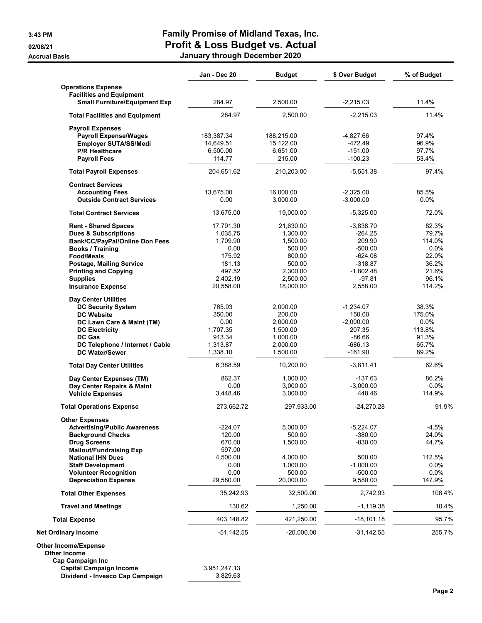## 3:43 PM Family Promise of Midland Texas, Inc. 02/08/21 Profit & Loss Budget vs. Actual Accrual Basis **Accrual Basis January through December 2020**

|                                                                         | Jan - Dec 20       | <b>Budget</b>      | \$ Over Budget           | % of Budget    |
|-------------------------------------------------------------------------|--------------------|--------------------|--------------------------|----------------|
| <b>Operations Expense</b>                                               |                    |                    |                          |                |
| <b>Facilities and Equipment</b><br><b>Small Furniture/Equipment Exp</b> | 284.97             | 2,500.00           | $-2,215.03$              | 11.4%          |
| <b>Total Facilities and Equipment</b>                                   | 284.97             | 2.500.00           | $-2,215.03$              | 11.4%          |
| <b>Payroll Expenses</b>                                                 |                    |                    |                          |                |
| <b>Payroll Expense/Wages</b>                                            | 183,387.34         | 188,215.00         | $-4,827.66$              | 97.4%          |
| Employer SUTA/SS/Medi                                                   | 14,649.51          | 15,122.00          | $-472.49$                | 96.9%          |
| <b>P/R Healthcare</b>                                                   | 6,500.00           | 6,651.00           | $-151.00$                | 97.7%          |
| <b>Payroll Fees</b>                                                     | 114.77             | 215.00             | $-100.23$                | 53.4%          |
| <b>Total Payroll Expenses</b>                                           | 204,651.62         | 210,203.00         | $-5,551.38$              | 97.4%          |
| <b>Contract Services</b>                                                |                    |                    |                          |                |
| <b>Accounting Fees</b>                                                  | 13,675.00          | 16,000.00          | $-2,325.00$              | 85.5%          |
| <b>Outside Contract Services</b>                                        | 0.00               | 3,000.00           | $-3,000.00$              | $0.0\%$        |
| <b>Total Contract Services</b>                                          | 13,675.00          | 19,000.00          | $-5,325.00$              | 72.0%          |
| <b>Rent - Shared Spaces</b>                                             | 17,791.30          | 21,630.00          | $-3,838.70$              | 82.3%          |
| <b>Dues &amp; Subscriptions</b>                                         | 1,035.75           | 1,300.00           | $-264.25$                | 79.7%          |
| Bank/CC/PayPal/Online Don Fees                                          | 1,709.90           | 1,500.00           | 209.90                   | 114.0%         |
| Books / Training                                                        | 0.00               | 500.00             | $-500.00$                | $0.0\%$        |
| <b>Food/Meals</b>                                                       | 175.92             | 800.00             | $-624.08$                | 22.0%          |
| <b>Postage, Mailing Service</b>                                         | 181.13<br>497.52   | 500.00<br>2,300.00 | $-318.87$<br>$-1,802.48$ | 36.2%<br>21.6% |
| <b>Printing and Copying</b><br><b>Supplies</b>                          | 2.402.19           | 2,500.00           | $-97.81$                 | 96.1%          |
| <b>Insurance Expense</b>                                                | 20,558.00          | 18,000.00          | 2,558.00                 | 114.2%         |
| <b>Day Center Utilities</b>                                             |                    |                    |                          |                |
| <b>DC Security System</b>                                               | 765.93             | 2,000.00           | $-1,234.07$              | 38.3%          |
| <b>DC Website</b>                                                       | 350.00             | 200.00             | 150.00                   | 175.0%         |
| DC Lawn Care & Maint (TM)                                               | 0.00               | 2,000.00           | $-2,000.00$              | $0.0\%$        |
| <b>DC Electricity</b>                                                   | 1,707.35           | 1,500.00           | 207.35                   | 113.8%         |
| <b>DC Gas</b>                                                           | 913.34             | 1,000.00           | $-86.66$                 | 91.3%          |
| DC Telephone / Internet / Cable                                         | 1,313.87           | 2,000.00           | $-686.13$                | 65.7%          |
| <b>DC Water/Sewer</b>                                                   | 1,338.10           | 1,500.00           | $-161.90$                | 89.2%          |
| <b>Total Day Center Utilities</b>                                       | 6,388.59           | 10,200.00          | $-3,811.41$              | 62.6%          |
| Day Center Expenses (TM)                                                | 862.37             | 1,000.00           | $-137.63$                | 86.2%          |
| Day Center Repairs & Maint                                              | 0.00               | 3,000.00           | $-3,000.00$              | $0.0\%$        |
| <b>Vehicle Expenses</b>                                                 | 3,448.46           | 3,000.00           | 448.46                   | 114.9%         |
| <b>Total Operations Expense</b>                                         | 273,662.72         | 297,933.00         | $-24,270.28$             | 91.9%          |
| <b>Other Expenses</b>                                                   |                    |                    |                          |                |
| <b>Advertising/Public Awareness</b>                                     | $-224.07$          | 5,000.00           | $-5,224.07$              | $-4.5%$        |
| <b>Background Checks</b>                                                | 120.00             | 500.00             | $-380.00$                | 24.0%          |
| <b>Drug Screens</b><br><b>Mailout/Fundraising Exp</b>                   | 670.00             | 1,500.00           | $-830.00$                | 44.7%          |
| <b>National IHN Dues</b>                                                | 597.00<br>4,500.00 | 4,000.00           | 500.00                   | 112.5%         |
| <b>Staff Development</b>                                                | 0.00               | 1,000.00           | $-1,000.00$              | 0.0%           |
| <b>Volunteer Recognition</b>                                            | 0.00               | 500.00             | $-500.00$                | 0.0%           |
| <b>Depreciation Expense</b>                                             | 29,580.00          | 20,000.00          | 9,580.00                 | 147.9%         |
| <b>Total Other Expenses</b>                                             | 35,242.93          | 32,500.00          | 2,742.93                 | 108.4%         |
| <b>Travel and Meetings</b>                                              | 130.62             | 1,250.00           | $-1,119.38$              | 10.4%          |
| <b>Total Expense</b>                                                    | 403,148.82         | 421,250.00         | $-18,101.18$             | 95.7%          |
| <b>Net Ordinary Income</b>                                              | -51,142.55         | $-20,000.00$       | $-31,142.55$             | 255.7%         |
| <b>Other Income/Expense</b>                                             |                    |                    |                          |                |
| <b>Other Income</b>                                                     |                    |                    |                          |                |
| Cap Campaign Inc                                                        |                    |                    |                          |                |
| <b>Capital Campaign Income</b>                                          | 3,951,247.13       |                    |                          |                |
| Dividend - Invesco Cap Campaign                                         | 3,829.63           |                    |                          |                |